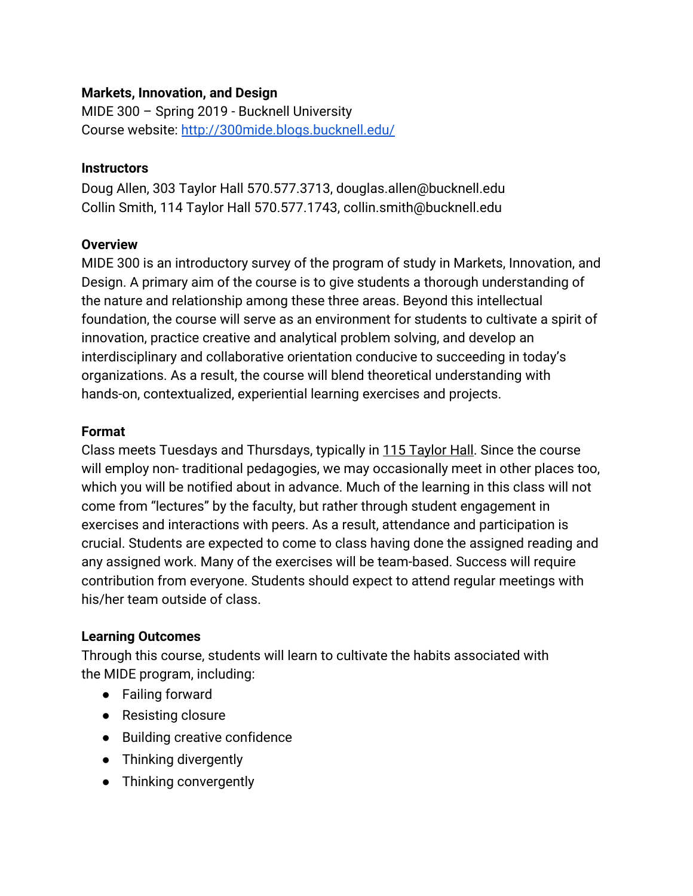### **Markets, Innovation, and Design**

MIDE 300 – Spring 2019 - Bucknell University Course website:<http://300mide.blogs.bucknell.edu/>

#### **Instructors**

Doug Allen, 303 Taylor Hall 570.577.3713, douglas.allen@bucknell.edu Collin Smith, 114 Taylor Hall 570.577.1743, collin.smith@bucknell.edu

### **Overview**

MIDE 300 is an introductory survey of the program of study in Markets, Innovation, and Design. A primary aim of the course is to give students a thorough understanding of the nature and relationship among these three areas. Beyond this intellectual foundation, the course will serve as an environment for students to cultivate a spirit of innovation, practice creative and analytical problem solving, and develop an interdisciplinary and collaborative orientation conducive to succeeding in today's organizations. As a result, the course will blend theoretical understanding with hands-on, contextualized, experiential learning exercises and projects.

#### **Format**

Class meets Tuesdays and Thursdays, typically in 115 Taylor Hall. Since the course will employ non- traditional pedagogies, we may occasionally meet in other places too, which you will be notified about in advance. Much of the learning in this class will not come from "lectures" by the faculty, but rather through student engagement in exercises and interactions with peers. As a result, attendance and participation is crucial. Students are expected to come to class having done the assigned reading and any assigned work. Many of the exercises will be team-based. Success will require contribution from everyone. Students should expect to attend regular meetings with his/her team outside of class.

### **Learning Outcomes**

Through this course, students will learn to cultivate the habits associated with the MIDE program, including:

- Failing forward
- Resisting closure
- Building creative confidence
- Thinking divergently
- Thinking convergently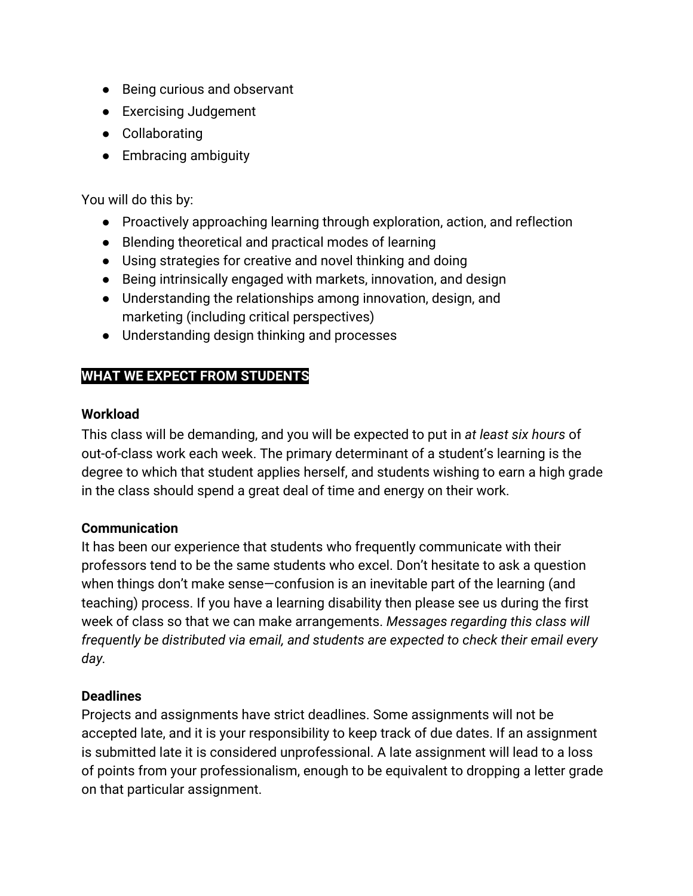- Being curious and observant
- Exercising Judgement
- Collaborating
- Embracing ambiguity

You will do this by:

- Proactively approaching learning through exploration, action, and reflection
- Blending theoretical and practical modes of learning
- Using strategies for creative and novel thinking and doing
- Being intrinsically engaged with markets, innovation, and design
- Understanding the relationships among innovation, design, and marketing (including critical perspectives)
- Understanding design thinking and processes

# **WHAT WE EXPECT FROM STUDENTS**

### **Workload**

This class will be demanding, and you will be expected to put in *at least six hours* of out-of-class work each week. The primary determinant of a student's learning is the degree to which that student applies herself, and students wishing to earn a high grade in the class should spend a great deal of time and energy on their work.

### **Communication**

It has been our experience that students who frequently communicate with their professors tend to be the same students who excel. Don't hesitate to ask a question when things don't make sense—confusion is an inevitable part of the learning (and teaching) process. If you have a learning disability then please see us during the first week of class so that we can make arrangements. *Messages regarding this class will frequently be distributed via email, and students are expected to check their email every day.*

### **Deadlines**

Projects and assignments have strict deadlines. Some assignments will not be accepted late, and it is your responsibility to keep track of due dates. If an assignment is submitted late it is considered unprofessional. A late assignment will lead to a loss of points from your professionalism, enough to be equivalent to dropping a letter grade on that particular assignment.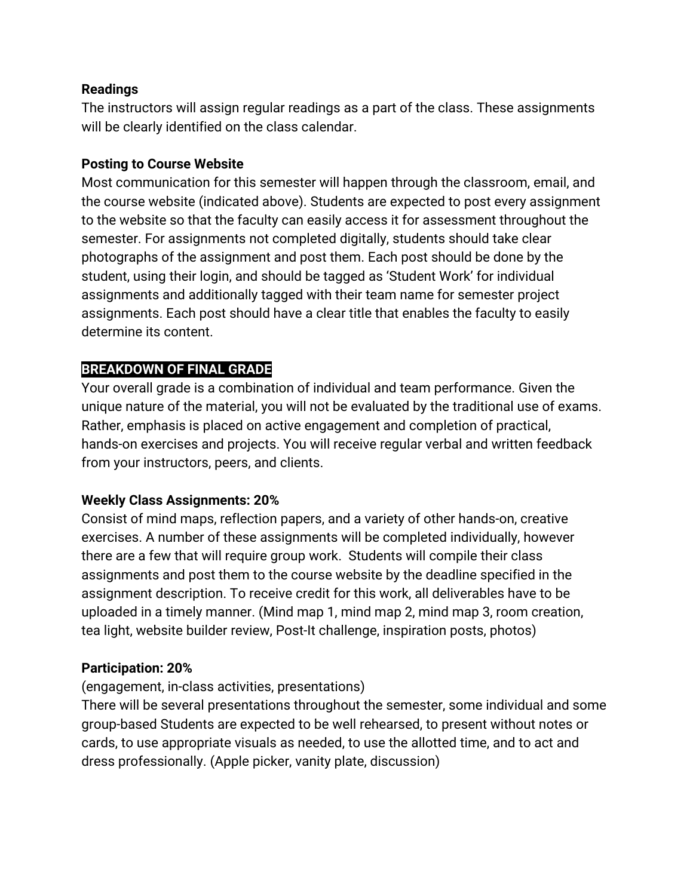### **Readings**

The instructors will assign regular readings as a part of the class. These assignments will be clearly identified on the class calendar.

### **Posting to Course Website**

Most communication for this semester will happen through the classroom, email, and the course website (indicated above). Students are expected to post every assignment to the website so that the faculty can easily access it for assessment throughout the semester. For assignments not completed digitally, students should take clear photographs of the assignment and post them. Each post should be done by the student, using their login, and should be tagged as 'Student Work' for individual assignments and additionally tagged with their team name for semester project assignments. Each post should have a clear title that enables the faculty to easily determine its content.

### **BREAKDOWN OF FINAL GRADE**

Your overall grade is a combination of individual and team performance. Given the unique nature of the material, you will not be evaluated by the traditional use of exams. Rather, emphasis is placed on active engagement and completion of practical, hands-on exercises and projects. You will receive regular verbal and written feedback from your instructors, peers, and clients.

### **Weekly Class Assignments: 20%**

Consist of mind maps, reflection papers, and a variety of other hands-on, creative exercises. A number of these assignments will be completed individually, however there are a few that will require group work. Students will compile their class assignments and post them to the course website by the deadline specified in the assignment description. To receive credit for this work, all deliverables have to be uploaded in a timely manner. (Mind map 1, mind map 2, mind map 3, room creation, tea light, website builder review, Post-It challenge, inspiration posts, photos)

### **Participation: 20%**

(engagement, in-class activities, presentations)

There will be several presentations throughout the semester, some individual and some group-based Students are expected to be well rehearsed, to present without notes or cards, to use appropriate visuals as needed, to use the allotted time, and to act and dress professionally. (Apple picker, vanity plate, discussion)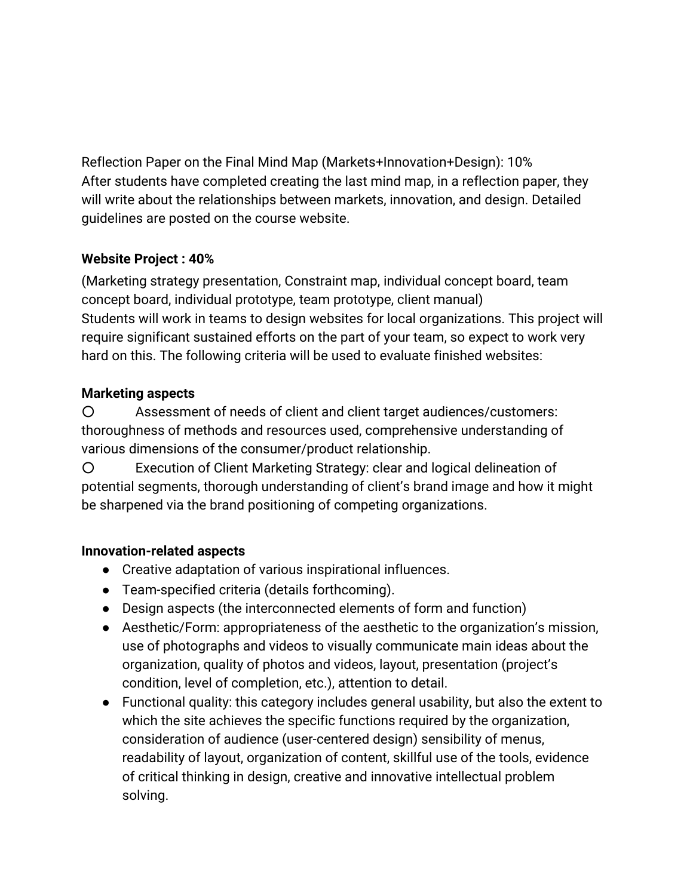Reflection Paper on the Final Mind Map (Markets+Innovation+Design): 10% After students have completed creating the last mind map, in a reflection paper, they will write about the relationships between markets, innovation, and design. Detailed guidelines are posted on the course website.

# **Website Project : 40%**

(Marketing strategy presentation, Constraint map, individual concept board, team concept board, individual prototype, team prototype, client manual) Students will work in teams to design websites for local organizations. This project will require significant sustained efforts on the part of your team, so expect to work very hard on this. The following criteria will be used to evaluate finished websites:

### **Marketing aspects**

○ Assessment of needs of client and client target audiences/customers: thoroughness of methods and resources used, comprehensive understanding of various dimensions of the consumer/product relationship.

○ Execution of Client Marketing Strategy: clear and logical delineation of potential segments, thorough understanding of client's brand image and how it might be sharpened via the brand positioning of competing organizations.

# **Innovation-related aspects**

- Creative adaptation of various inspirational influences.
- Team-specified criteria (details forthcoming).
- Design aspects (the interconnected elements of form and function)
- Aesthetic/Form: appropriateness of the aesthetic to the organization's mission, use of photographs and videos to visually communicate main ideas about the organization, quality of photos and videos, layout, presentation (project's condition, level of completion, etc.), attention to detail.
- Functional quality: this category includes general usability, but also the extent to which the site achieves the specific functions required by the organization, consideration of audience (user-centered design) sensibility of menus, readability of layout, organization of content, skillful use of the tools, evidence of critical thinking in design, creative and innovative intellectual problem solving.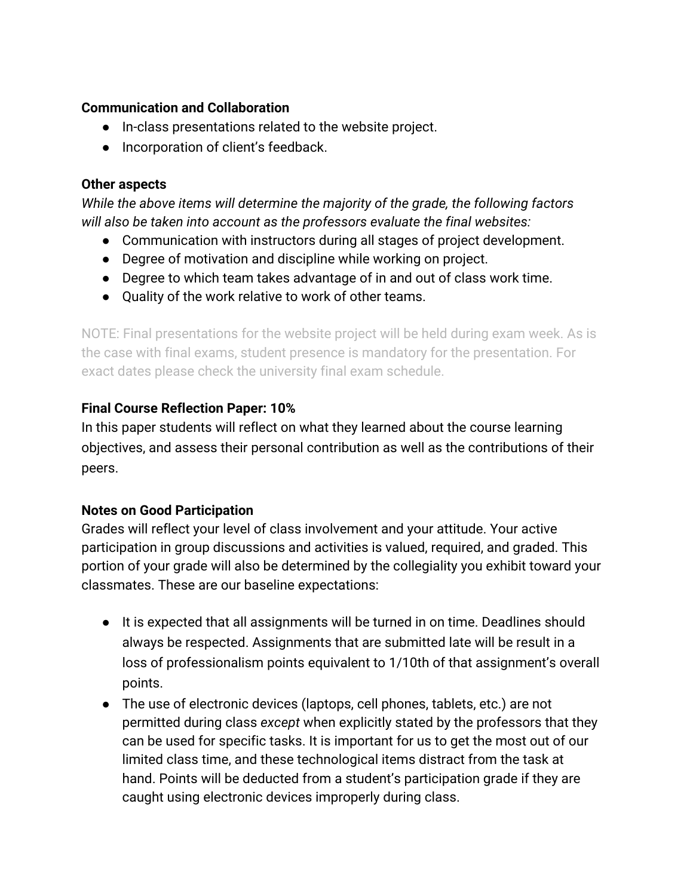### **Communication and Collaboration**

- In-class presentations related to the website project.
- Incorporation of client's feedback.

#### **Other aspects**

*While the above items will determine the majority of the grade, the following factors will also be taken into account as the professors evaluate the final websites:*

- Communication with instructors during all stages of project development.
- Degree of motivation and discipline while working on project.
- Degree to which team takes advantage of in and out of class work time.
- Quality of the work relative to work of other teams.

NOTE: Final presentations for the website project will be held during exam week. As is the case with final exams, student presence is mandatory for the presentation. For exact dates please check the university final exam schedule.

### **Final Course Reflection Paper: 10%**

In this paper students will reflect on what they learned about the course learning objectives, and assess their personal contribution as well as the contributions of their peers.

### **Notes on Good Participation**

Grades will reflect your level of class involvement and your attitude. Your active participation in group discussions and activities is valued, required, and graded. This portion of your grade will also be determined by the collegiality you exhibit toward your classmates. These are our baseline expectations:

- It is expected that all assignments will be turned in on time. Deadlines should always be respected. Assignments that are submitted late will be result in a loss of professionalism points equivalent to 1/10th of that assignment's overall points.
- The use of electronic devices (laptops, cell phones, tablets, etc.) are not permitted during class *except* when explicitly stated by the professors that they can be used for specific tasks. It is important for us to get the most out of our limited class time, and these technological items distract from the task at hand. Points will be deducted from a student's participation grade if they are caught using electronic devices improperly during class.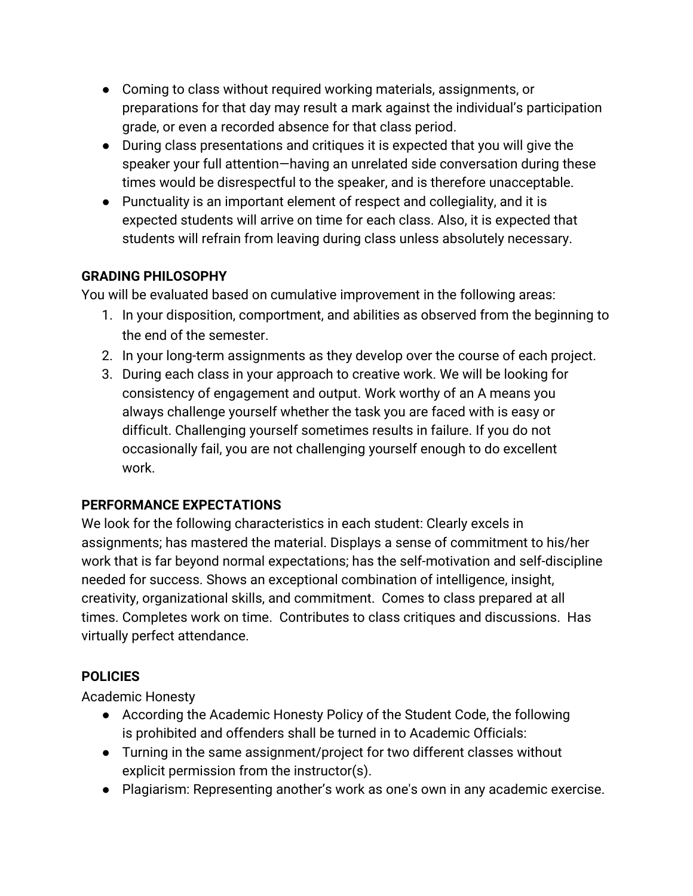- Coming to class without required working materials, assignments, or preparations for that day may result a mark against the individual's participation grade, or even a recorded absence for that class period.
- During class presentations and critiques it is expected that you will give the speaker your full attention—having an unrelated side conversation during these times would be disrespectful to the speaker, and is therefore unacceptable.
- Punctuality is an important element of respect and collegiality, and it is expected students will arrive on time for each class. Also, it is expected that students will refrain from leaving during class unless absolutely necessary.

# **GRADING PHILOSOPHY**

You will be evaluated based on cumulative improvement in the following areas:

- 1. In your disposition, comportment, and abilities as observed from the beginning to the end of the semester.
- 2. In your long-term assignments as they develop over the course of each project.
- 3. During each class in your approach to creative work. We will be looking for consistency of engagement and output. Work worthy of an A means you always challenge yourself whether the task you are faced with is easy or difficult. Challenging yourself sometimes results in failure. If you do not occasionally fail, you are not challenging yourself enough to do excellent work.

# **PERFORMANCE EXPECTATIONS**

We look for the following characteristics in each student: Clearly excels in assignments; has mastered the material. Displays a sense of commitment to his/her work that is far beyond normal expectations; has the self-motivation and self-discipline needed for success. Shows an exceptional combination of intelligence, insight, creativity, organizational skills, and commitment. Comes to class prepared at all times. Completes work on time. Contributes to class critiques and discussions. Has virtually perfect attendance.

# **POLICIES**

Academic Honesty

- According the Academic Honesty Policy of the Student Code, the following is prohibited and offenders shall be turned in to Academic Officials:
- Turning in the same assignment/project for two different classes without explicit permission from the instructor(s).
- Plagiarism: Representing another's work as one's own in any academic exercise.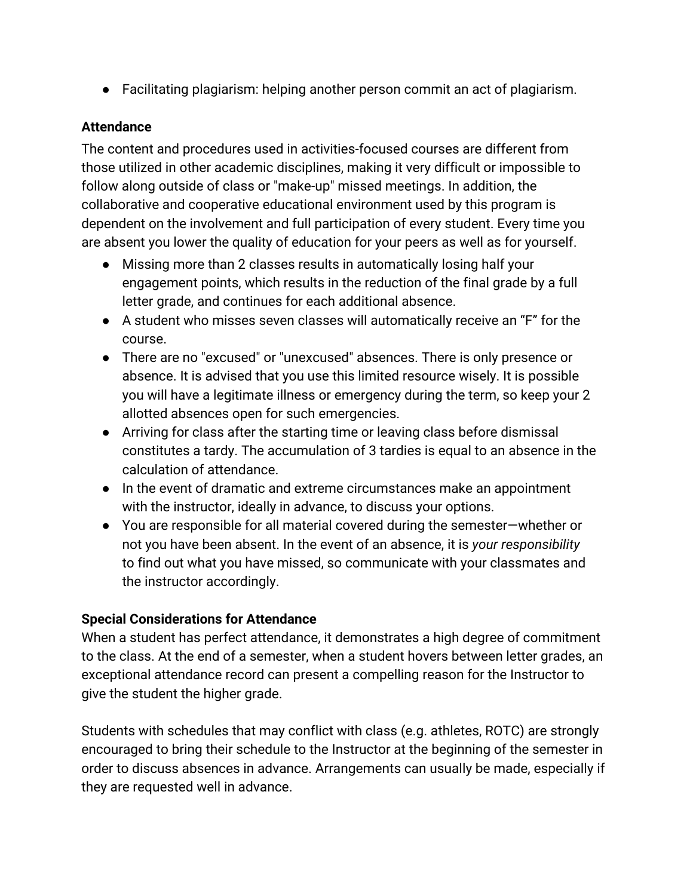● Facilitating plagiarism: helping another person commit an act of plagiarism.

### **Attendance**

The content and procedures used in activities-focused courses are different from those utilized in other academic disciplines, making it very difficult or impossible to follow along outside of class or "make-up" missed meetings. In addition, the collaborative and cooperative educational environment used by this program is dependent on the involvement and full participation of every student. Every time you are absent you lower the quality of education for your peers as well as for yourself.

- Missing more than 2 classes results in automatically losing half your engagement points, which results in the reduction of the final grade by a full letter grade, and continues for each additional absence.
- A student who misses seven classes will automatically receive an "F" for the course.
- There are no "excused" or "unexcused" absences. There is only presence or absence. It is advised that you use this limited resource wisely. It is possible you will have a legitimate illness or emergency during the term, so keep your 2 allotted absences open for such emergencies.
- Arriving for class after the starting time or leaving class before dismissal constitutes a tardy. The accumulation of 3 tardies is equal to an absence in the calculation of attendance.
- In the event of dramatic and extreme circumstances make an appointment with the instructor, ideally in advance, to discuss your options.
- You are responsible for all material covered during the semester—whether or not you have been absent. In the event of an absence, it is *your responsibility* to find out what you have missed, so communicate with your classmates and the instructor accordingly.

# **Special Considerations for Attendance**

When a student has perfect attendance, it demonstrates a high degree of commitment to the class. At the end of a semester, when a student hovers between letter grades, an exceptional attendance record can present a compelling reason for the Instructor to give the student the higher grade.

Students with schedules that may conflict with class (e.g. athletes, ROTC) are strongly encouraged to bring their schedule to the Instructor at the beginning of the semester in order to discuss absences in advance. Arrangements can usually be made, especially if they are requested well in advance.